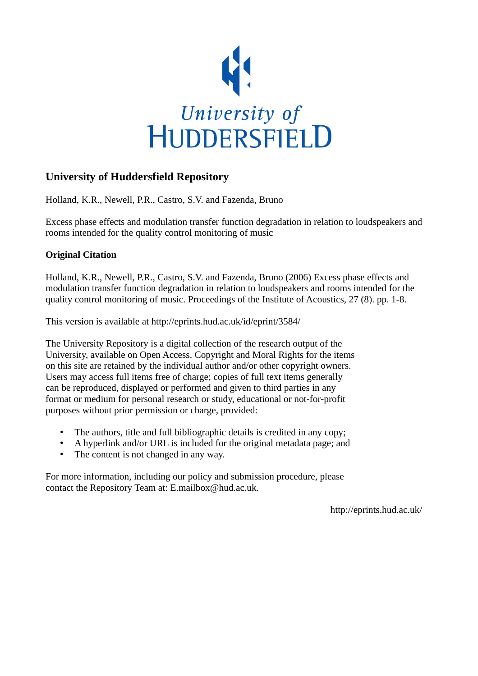

# **University of Huddersfield Repository**

Holland, K.R., Newell, P.R., Castro, S.V. and Fazenda, Bruno

Excess phase effects and modulation transfer function degradation in relation to loudspeakers and rooms intended for the quality control monitoring of music

### **Original Citation**

Holland, K.R., Newell, P.R., Castro, S.V. and Fazenda, Bruno (2006) Excess phase effects and modulation transfer function degradation in relation to loudspeakers and rooms intended for the quality control monitoring of music. Proceedings of the Institute of Acoustics, 27 (8). pp. 1-8.

This version is available at http://eprints.hud.ac.uk/id/eprint/3584/

The University Repository is a digital collection of the research output of the University, available on Open Access. Copyright and Moral Rights for the items on this site are retained by the individual author and/or other copyright owners. Users may access full items free of charge; copies of full text items generally can be reproduced, displayed or performed and given to third parties in any format or medium for personal research or study, educational or not-for-profit purposes without prior permission or charge, provided:

- The authors, title and full bibliographic details is credited in any copy;
- A hyperlink and/or URL is included for the original metadata page; and
- The content is not changed in any way.

For more information, including our policy and submission procedure, please contact the Repository Team at: E.mailbox@hud.ac.uk.

http://eprints.hud.ac.uk/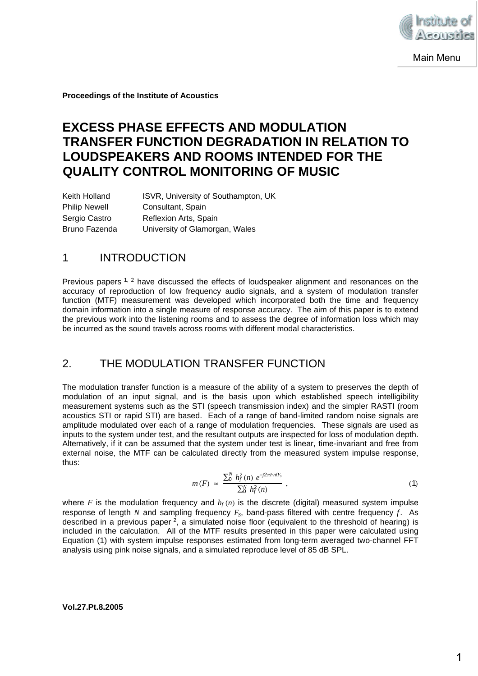

**Proceedings of the Institute of Acoustics**

# **EXCESS PHASE EFFECTS AND MODULATION TRANSFER FUNCTION DEGRADATION IN RELATION TO LOUDSPEAKERS AND ROOMS INTENDED FOR THE QUALITY CONTROL MONITORING OF MUSIC**

| Keith Holland        | ISVR, University of Southampton, UK |
|----------------------|-------------------------------------|
| <b>Philip Newell</b> | Consultant, Spain                   |
| Sergio Castro        | Reflexion Arts, Spain               |
| Bruno Fazenda        | University of Glamorgan, Wales      |

### 1 INTRODUCTION

Previous papers <sup>1, 2</sup> have discussed the effects of loudspeaker alignment and resonances on the accuracy of reproduction of low frequency audio signals, and a system of modulation transfer function (MTF) measurement was developed which incorporated both the time and frequency domain information into a single measure of response accuracy. The aim of this paper is to extend the previous work into the listening rooms and to assess the degree of information loss which may be incurred as the sound travels across rooms with different modal characteristics.

### 2. THE MODULATION TRANSFER FUNCTION

The modulation transfer function is a measure of the ability of a system to preserves the depth of modulation of an input signal, and is the basis upon which established speech intelligibility measurement systems such as the STI (speech transmission index) and the simpler RASTI (room acoustics STI or rapid STI) are based. Each of a range of band-limited random noise signals are amplitude modulated over each of a range of modulation frequencies. These signals are used as inputs to the system under test, and the resultant outputs are inspected for loss of modulation depth. Alternatively, if it can be assumed that the system under test is linear, time-invariant and free from external noise, the MTF can be calculated directly from the measured system impulse response, thus:

$$
m(F) \approx \frac{\sum_{0}^{N} h_{f}^{2}(n) e^{-j2\pi F n/F_{s}}}{\sum_{0}^{N} h_{f}^{2}(n)},
$$
\n(1)

where F is the modulation frequency and  $h_f(n)$  is the discrete (digital) measured system impulse response of length  $N$  and sampling frequency  $F_S$ , band-pass filtered with centre frequency  $f$ . As described in a previous paper  $2$ , a simulated noise floor (equivalent to the threshold of hearing) is included in the calculation. All of the MTF results presented in this paper were calculated using Equation (1) with system impulse responses estimated from long-term averaged two-channel FFT analysis using pink noise signals, and a simulated reproduce level of 85 dB SPL.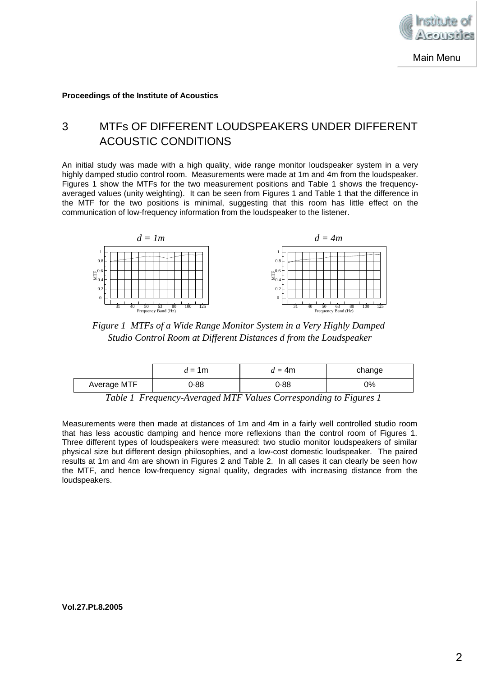

**Proceedings of the Institute of Acoustics**

# 3 MTFs OF DIFFERENT LOUDSPEAKERS UNDER DIFFERENT ACOUSTIC CONDITIONS

An initial study was made with a high quality, wide range monitor loudspeaker system in a very highly damped studio control room. Measurements were made at 1m and 4m from the loudspeaker. Figures 1 show the MTFs for the two measurement positions and Table 1 shows the frequencyaveraged values (unity weighting). It can be seen from Figures 1 and Table 1 that the difference in the MTF for the two positions is minimal, suggesting that this room has little effect on the communication of low-frequency information from the loudspeaker to the listener.



*Figure 1 MTFs of a Wide Range Monitor System in a Very Highly Damped Studio Control Room at Different Distances d from the Loudspeaker*

|             | $d = 1$ m | $=4m$       | change                             |
|-------------|-----------|-------------|------------------------------------|
| Average MTF | ).88      | 0.88        | 0%                                 |
| _ _ _ _     | --------  | $ -$<br>___ | $\overline{\phantom{a}}$<br>$\sim$ |

*Table 1 Frequency-Averaged MTF Values Corresponding to Figures 1*

Measurements were then made at distances of 1m and 4m in a fairly well controlled studio room that has less acoustic damping and hence more reflexions than the control room of Figures 1. Three different types of loudspeakers were measured: two studio monitor loudspeakers of similar physical size but different design philosophies, and a low-cost domestic loudspeaker. The paired results at 1m and 4m are shown in Figures 2 and Table 2. In all cases it can clearly be seen how the MTF, and hence low-frequency signal quality, degrades with increasing distance from the loudspeakers.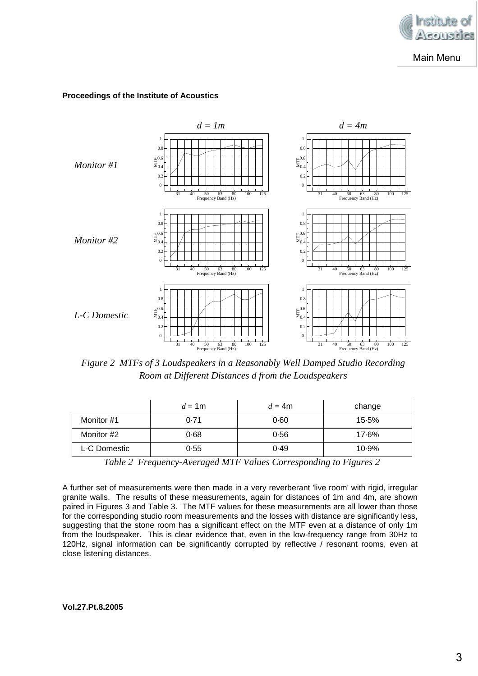

#### **Proceedings of the Institute of Acoustics**



*Figure 2 MTFs of 3 Loudspeakers in a Reasonably Well Damped Studio Recording Room at Different Distances d from the Loudspeakers*

|              | $d = 1$ m | $d = 4m$ | change |
|--------------|-----------|----------|--------|
| Monitor #1   | 0.71      | 0.60     | 15.5%  |
| Monitor #2   | 0.68      | 0.56     | 17.6%  |
| L-C Domestic | 0.55      | 0.49     | 10.9%  |

*Table 2 Frequency-Averaged MTF Values Corresponding to Figures 2*

A further set of measurements were then made in a very reverberant 'live room' with rigid, irregular granite walls. The results of these measurements, again for distances of 1m and 4m, are shown paired in Figures 3 and Table 3. The MTF values for these measurements are all lower than those for the corresponding studio room measurements and the losses with distance are significantly less, suggesting that the stone room has a significant effect on the MTF even at a distance of only 1m from the loudspeaker. This is clear evidence that, even in the low-frequency range from 30Hz to 120Hz, signal information can be significantly corrupted by reflective / resonant rooms, even at close listening distances.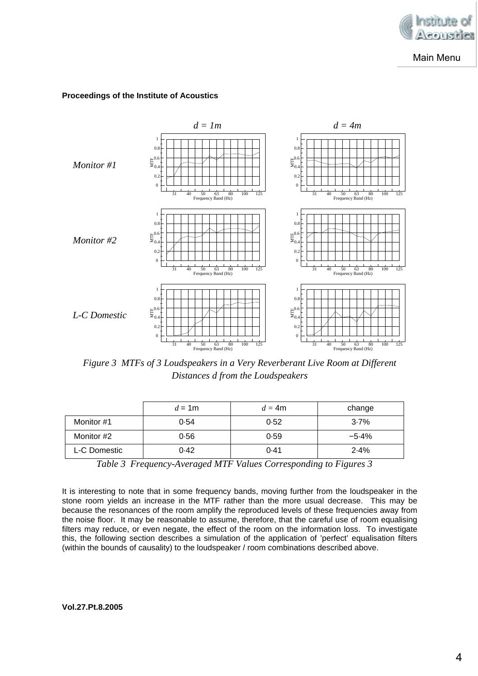

#### **Proceedings of the Institute of Acoustics**



*Figure 3 MTFs of 3 Loudspeakers in a Very Reverberant Live Room at Different Distances d from the Loudspeakers*

|              | $d = 1$ m | $d = 4m$ | change  |
|--------------|-----------|----------|---------|
| Monitor #1   | 0.54      | 0.52     | $3.7\%$ |
| Monitor #2   | 0.56      | 0.59     | $-5.4%$ |
| L-C Domestic | 0.42      | 0.41     | 2.4%    |

*Table 3 Frequency-Averaged MTF Values Corresponding to Figures 3*

It is interesting to note that in some frequency bands, moving further from the loudspeaker in the stone room yields an increase in the MTF rather than the more usual decrease. This may be because the resonances of the room amplify the reproduced levels of these frequencies away from the noise floor. It may be reasonable to assume, therefore, that the careful use of room equalising filters may reduce, or even negate, the effect of the room on the information loss. To investigate this, the following section describes a simulation of the application of 'perfect' equalisation filters (within the bounds of causality) to the loudspeaker / room combinations described above.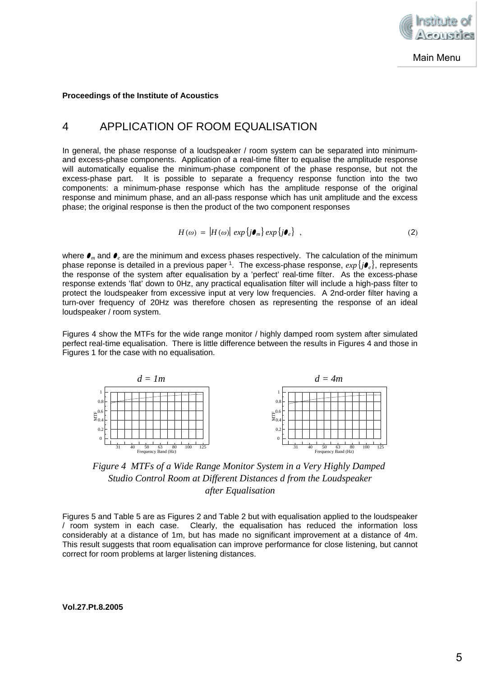

#### **Proceedings of the Institute of Acoustics**

### 4 APPLICATION OF ROOM EQUALISATION

In general, the phase response of a loudspeaker / room system can be separated into minimumand excess-phase components. Application of a real-time filter to equalise the amplitude response will automatically equalise the minimum-phase component of the phase response, but not the excess-phase part. It is possible to separate a frequency response function into the two components: a minimum-phase response which has the amplitude response of the original response and minimum phase, and an all-pass response which has unit amplitude and the excess phase; the original response is then the product of the two component responses

$$
H(\omega) = |H(\omega)| \exp \{j \boldsymbol{\theta}_m\} \exp \{j \boldsymbol{\theta}_e\}, \qquad (2)
$$

*where*  $\bullet$ *<sub>m</sub> and*  $\bullet$ *<sub>e</sub> are the minimum and excess phases respectively. The calculation of the minimum* phase reponse is detailed in a previous paper <sup>1</sup>. The excess-phase response,  $exp{ \{ j \bullet_{e} \}}$ , represents the response of the system after equalisation by a 'perfect' real-time filter. As the excess-phase response extends 'flat' down to 0Hz, any practical equalisation filter will include a high-pass filter to protect the loudspeaker from excessive input at very low frequencies. A 2nd-order filter having a turn-over frequency of 20Hz was therefore chosen as representing the response of an ideal loudspeaker / room system.

Figures 4 show the MTFs for the wide range monitor / highly damped room system after simulated perfect real-time equalisation. There is little difference between the results in Figures 4 and those in Figures 1 for the case with no equalisation.



*Figure 4 MTFs of a Wide Range Monitor System in a Very Highly Damped Studio Control Room at Different Distances d from the Loudspeaker after Equalisation*

Figures 5 and Table 5 are as Figures 2 and Table 2 but with equalisation applied to the loudspeaker / room system in each case. Clearly, the equalisation has reduced the information loss considerably at a distance of 1m, but has made no significant improvement at a distance of 4m. This result suggests that room equalisation can improve performance for close listening, but cannot correct for room problems at larger listening distances.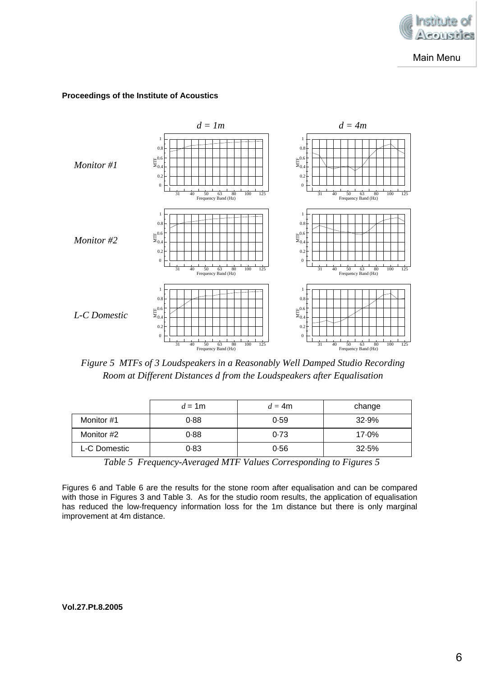





*Figure 5 MTFs of 3 Loudspeakers in a Reasonably Well Damped Studio Recording Room at Different Distances d from the Loudspeakers after Equalisation*

|              | $d = 1$ m | $d = 4m$ | change |
|--------------|-----------|----------|--------|
| Monitor #1   | 0.88      | 0.59     | 32.9%  |
| Monitor #2   | 0.88      | 0.73     | 17.0%  |
| L-C Domestic | 0.83      | 0.56     | 32.5%  |

*Table 5 Frequency-Averaged MTF Values Corresponding to Figures 5*

Figures 6 and Table 6 are the results for the stone room after equalisation and can be compared with those in Figures 3 and Table 3. As for the studio room results, the application of equalisation has reduced the low-frequency information loss for the 1m distance but there is only marginal improvement at 4m distance.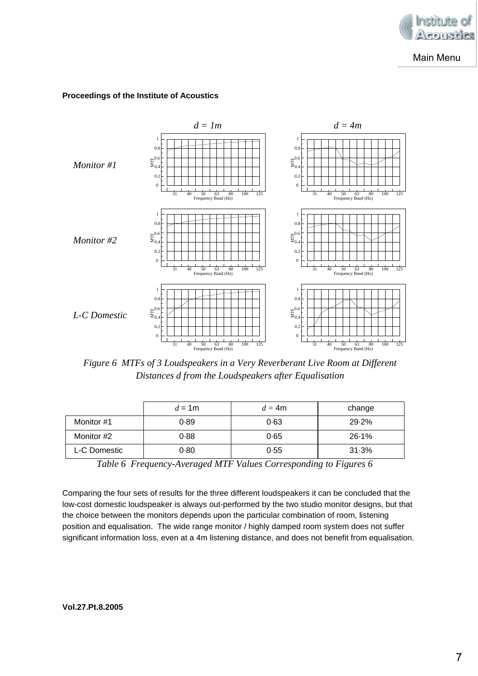

#### **Proceedings of the Institute of Acoustics**



*Figure 6 MTFs of 3 Loudspeakers in a Very Reverberant Live Room at Different Distances d from the Loudspeakers after Equalisation*

|              | $d = 1$ m | $d = 4m$ | change |
|--------------|-----------|----------|--------|
| Monitor #1   | 0.89      | 0.63     | 29.2%  |
| Monitor #2   | 0.88      | 0.65     | 26.1%  |
| L-C Domestic | 0.80      | 0.55     | 31.3%  |

*Table 6 Frequency-Averaged MTF Values Corresponding to Figures 6*

Comparing the four sets of results for the three different loudspeakers it can be concluded that the low-cost domestic loudspeaker is always out-performed by the two studio monitor designs, but that the choice between the monitors depends upon the particular combination of room, listening position and equalisation. The wide range monitor / highly damped room system does not suffer significant information loss, even at a 4m listening distance, and does not benefit from equalisation.